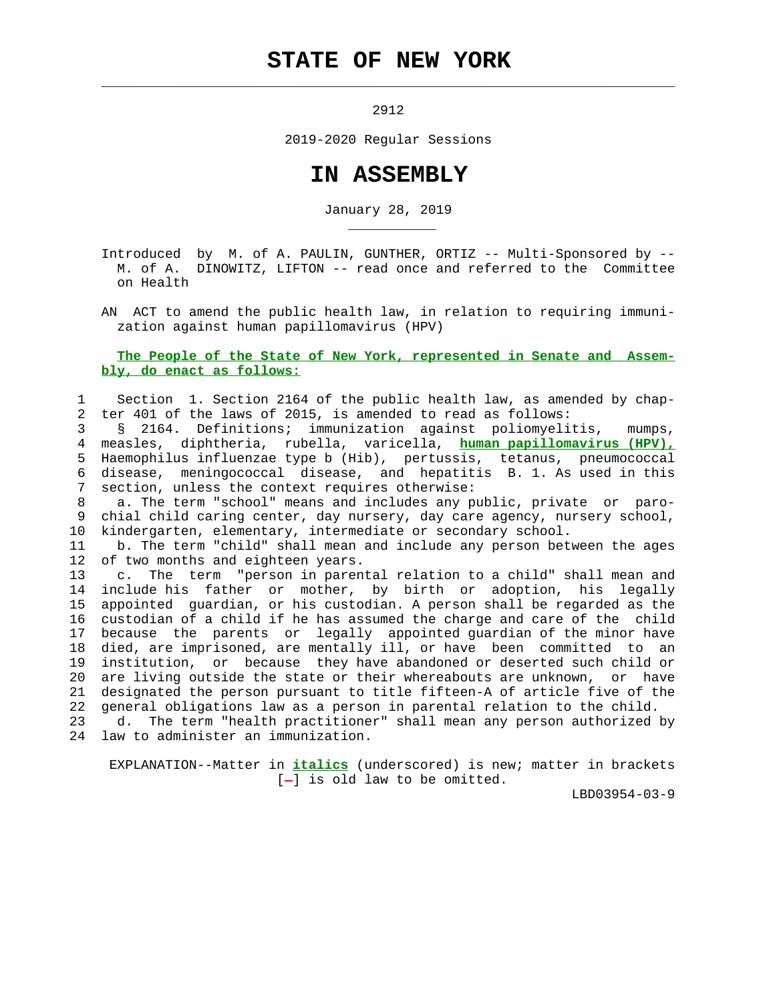# **STATE OF NEW YORK**

 $\mathcal{L}_\text{max} = \frac{1}{2} \sum_{i=1}^{n} \frac{1}{2} \sum_{i=1}^{n} \frac{1}{2} \sum_{i=1}^{n} \frac{1}{2} \sum_{i=1}^{n} \frac{1}{2} \sum_{i=1}^{n} \frac{1}{2} \sum_{i=1}^{n} \frac{1}{2} \sum_{i=1}^{n} \frac{1}{2} \sum_{i=1}^{n} \frac{1}{2} \sum_{i=1}^{n} \frac{1}{2} \sum_{i=1}^{n} \frac{1}{2} \sum_{i=1}^{n} \frac{1}{2} \sum_{i=1}^{n} \frac{1$ 

\_\_\_\_\_\_\_\_\_\_\_

2912

2019-2020 Regular Sessions

# **IN ASSEMBLY**

January 28, 2019

 Introduced by M. of A. PAULIN, GUNTHER, ORTIZ -- Multi-Sponsored by -- M. of A. DINOWITZ, LIFTON -- read once and referred to the Committee on Health

 AN ACT to amend the public health law, in relation to requiring immuni zation against human papillomavirus (HPV)

#### **The People of the State of New York, represented in Senate and Assem bly, do enact as follows:**

## 1 Section 1. Section 2164 of the public health law, as amended by chap- 2 ter 401 of the laws of 2015, is amended to read as follows:

 3 § 2164. Definitions; immunization against poliomyelitis, mumps, 4 measles, diphtheria, rubella, varicella, **human papillomavirus (HPV),** 5 Haemophilus influenzae type b (Hib), pertussis, tetanus, pneumococcal 6 disease, meningococcal disease, and hepatitis B. 1. As used in this 7 section, unless the context requires otherwise:

 8 a. The term "school" means and includes any public, private or paro- 9 chial child caring center, day nursery, day care agency, nursery school, 10 kindergarten, elementary, intermediate or secondary school.

 11 b. The term "child" shall mean and include any person between the ages 12 of two months and eighteen years.

 13 c. The term "person in parental relation to a child" shall mean and 14 include his father or mother, by birth or adoption, his legally 15 appointed guardian, or his custodian. A person shall be regarded as the 16 custodian of a child if he has assumed the charge and care of the child 17 because the parents or legally appointed guardian of the minor have 18 died, are imprisoned, are mentally ill, or have been committed to an 19 institution, or because they have abandoned or deserted such child or 20 are living outside the state or their whereabouts are unknown, or have 21 designated the person pursuant to title fifteen-A of article five of the 22 general obligations law as a person in parental relation to the child.

 23 d. The term "health practitioner" shall mean any person authorized by 24 law to administer an immunization.

 EXPLANATION--Matter in **italics** (underscored) is new; matter in brackets  $[-]$  is old law to be omitted.

LBD03954-03-9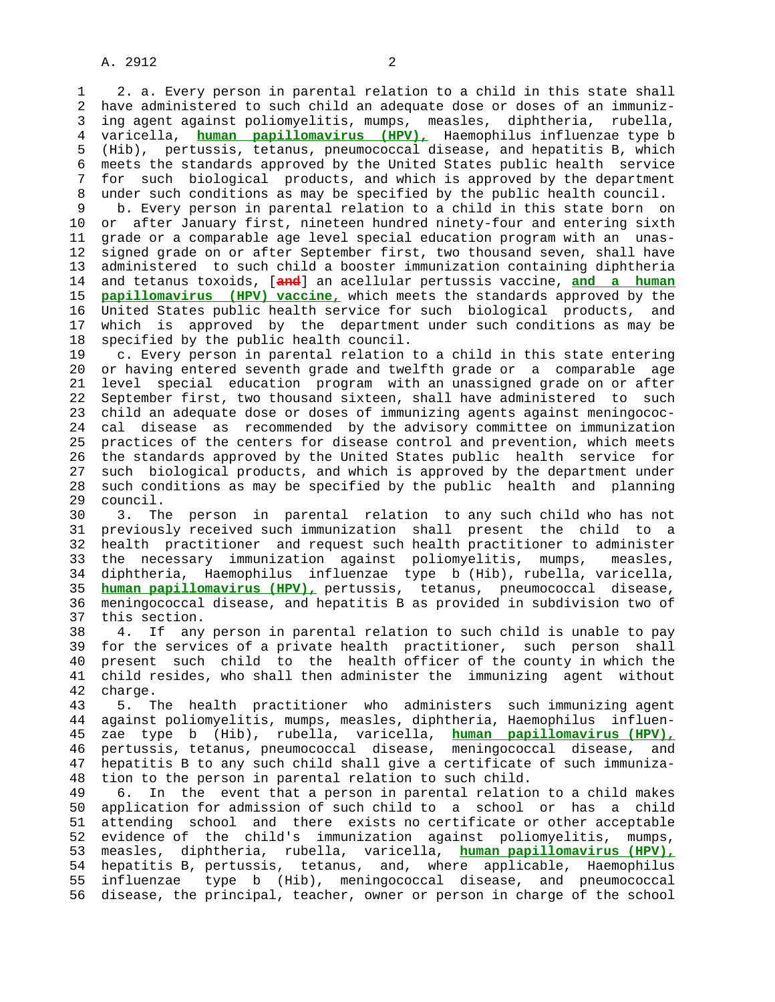1 2. a. Every person in parental relation to a child in this state shall 2 have administered to such child an adequate dose or doses of an immuniz- 3 ing agent against poliomyelitis, mumps, measles, diphtheria, rubella, 4 varicella, **human papillomavirus (HPV),** Haemophilus influenzae type b 5 (Hib), pertussis, tetanus, pneumococcal disease, and hepatitis B, which 6 meets the standards approved by the United States public health service 7 for such biological products, and which is approved by the department 8 under such conditions as may be specified by the public health council.<br>9 b. Every person in parental relation to a child in this state born o

b. Every person in parental relation to a child in this state born on 10 or after January first, nineteen hundred ninety-four and entering sixth 11 grade or a comparable age level special education program with an unas- 12 signed grade on or after September first, two thousand seven, shall have 13 administered to such child a booster immunization containing diphtheria 14 and tetanus toxoids, [**and**] an acellular pertussis vaccine, **and a human** 15 **papillomavirus (HPV) vaccine,** which meets the standards approved by the 16 United States public health service for such biological products, and 17 which is approved by the department under such conditions as may be 18 specified by the public health council.

 19 c. Every person in parental relation to a child in this state entering 20 or having entered seventh grade and twelfth grade or a comparable age 21 level special education program with an unassigned grade on or after 22 September first, two thousand sixteen, shall have administered to such 23 child an adequate dose or doses of immunizing agents against meningococ- 24 cal disease as recommended by the advisory committee on immunization 25 practices of the centers for disease control and prevention, which meets 26 the standards approved by the United States public health service for 27 such biological products, and which is approved by the department under 28 such conditions as may be specified by the public health and planning 29 council.

 30 3. The person in parental relation to any such child who has not 31 previously received such immunization shall present the child to a 32 health practitioner and request such health practitioner to administer 33 the necessary immunization against poliomyelitis, mumps, measles, 34 diphtheria, Haemophilus influenzae type b (Hib), rubella, varicella, 35 **human papillomavirus (HPV),** pertussis, tetanus, pneumococcal disease, 36 meningococcal disease, and hepatitis B as provided in subdivision two of 37 this section.

 38 4. If any person in parental relation to such child is unable to pay 39 for the services of a private health practitioner, such person shall 40 present such child to the health officer of the county in which the 41 child resides, who shall then administer the immunizing agent without 42 charge.

 43 5. The health practitioner who administers such immunizing agent 44 against poliomyelitis, mumps, measles, diphtheria, Haemophilus influen- 45 zae type b (Hib), rubella, varicella, **human papillomavirus (HPV),** 46 pertussis, tetanus, pneumococcal disease, meningococcal disease, and 47 hepatitis B to any such child shall give a certificate of such immuniza- 48 tion to the person in parental relation to such child.

 49 6. In the event that a person in parental relation to a child makes 50 application for admission of such child to a school or has a child 51 attending school and there exists no certificate or other acceptable 52 evidence of the child's immunization against poliomyelitis, mumps, 53 measles, diphtheria, rubella, varicella, **human papillomavirus (HPV),** 54 hepatitis B, pertussis, tetanus, and, where applicable, Haemophilus 55 influenzae type b (Hib), meningococcal disease, and pneumococcal 56 disease, the principal, teacher, owner or person in charge of the school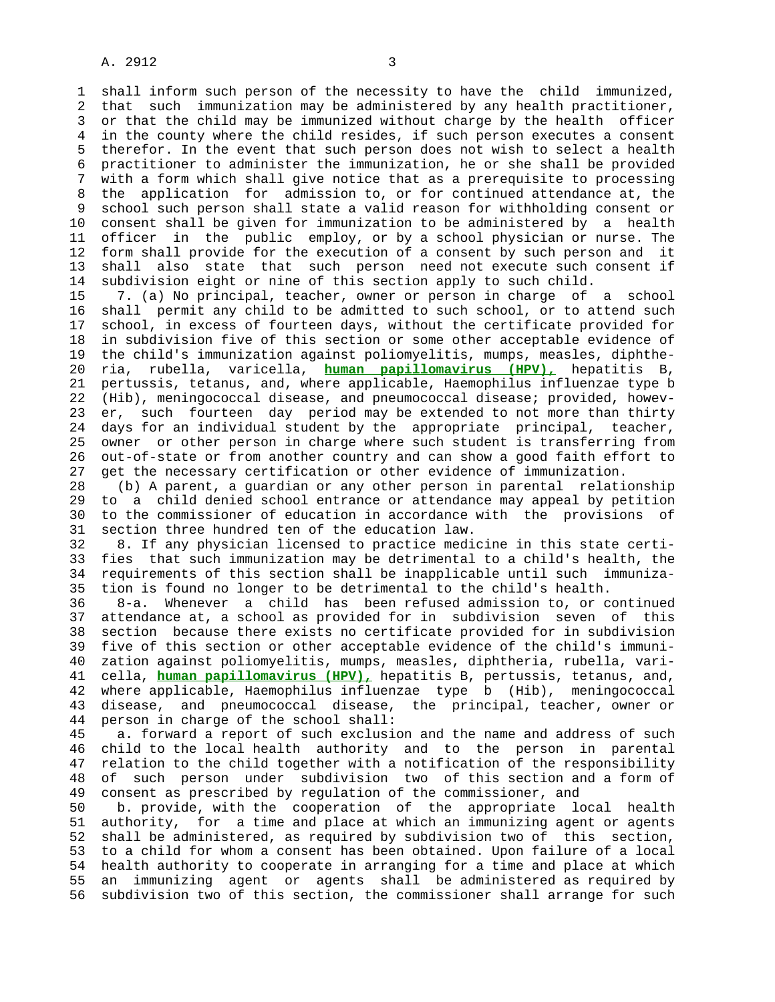## A. 2912 3

 1 shall inform such person of the necessity to have the child immunized, 2 that such immunization may be administered by any health practitioner, 3 or that the child may be immunized without charge by the health officer 4 in the county where the child resides, if such person executes a consent 5 therefor. In the event that such person does not wish to select a health 6 practitioner to administer the immunization, he or she shall be provided 7 with a form which shall give notice that as a prerequisite to processing 8 the application for admission to, or for continued attendance at, the 9 school such person shall state a valid reason for withholding consent or 10 consent shall be given for immunization to be administered by a health 11 officer in the public employ, or by a school physician or nurse. The 12 form shall provide for the execution of a consent by such person and it 13 shall also state that such person need not execute such consent if 14 subdivision eight or nine of this section apply to such child.

 15 7. (a) No principal, teacher, owner or person in charge of a school 16 shall permit any child to be admitted to such school, or to attend such 17 school, in excess of fourteen days, without the certificate provided for 18 in subdivision five of this section or some other acceptable evidence of 19 the child's immunization against poliomyelitis, mumps, measles, diphthe- 20 ria, rubella, varicella, **human papillomavirus (HPV),** hepatitis B, 21 pertussis, tetanus, and, where applicable, Haemophilus influenzae type b 22 (Hib), meningococcal disease, and pneumococcal disease; provided, howev- 23 er, such fourteen day period may be extended to not more than thirty 24 days for an individual student by the appropriate principal, teacher, 25 owner or other person in charge where such student is transferring from 26 out-of-state or from another country and can show a good faith effort to 27 get the necessary certification or other evidence of immunization.

 28 (b) A parent, a guardian or any other person in parental relationship 29 to a child denied school entrance or attendance may appeal by petition 30 to the commissioner of education in accordance with the provisions of 31 section three hundred ten of the education law.

 32 8. If any physician licensed to practice medicine in this state certi- 33 fies that such immunization may be detrimental to a child's health, the 34 requirements of this section shall be inapplicable until such immuniza- 35 tion is found no longer to be detrimental to the child's health.

 36 8-a. Whenever a child has been refused admission to, or continued 37 attendance at, a school as provided for in subdivision seven of this 38 section because there exists no certificate provided for in subdivision 39 five of this section or other acceptable evidence of the child's immuni- 40 zation against poliomyelitis, mumps, measles, diphtheria, rubella, vari- 41 cella, **human papillomavirus (HPV),** hepatitis B, pertussis, tetanus, and, 42 where applicable, Haemophilus influenzae type b (Hib), meningococcal 43 disease, and pneumococcal disease, the principal, teacher, owner or 44 person in charge of the school shall:

 45 a. forward a report of such exclusion and the name and address of such 46 child to the local health authority and to the person in parental 47 relation to the child together with a notification of the responsibility 48 of such person under subdivision two of this section and a form of 49 consent as prescribed by regulation of the commissioner, and

 50 b. provide, with the cooperation of the appropriate local health 51 authority, for a time and place at which an immunizing agent or agents 52 shall be administered, as required by subdivision two of this section, 53 to a child for whom a consent has been obtained. Upon failure of a local 54 health authority to cooperate in arranging for a time and place at which 55 an immunizing agent or agents shall be administered as required by 56 subdivision two of this section, the commissioner shall arrange for such